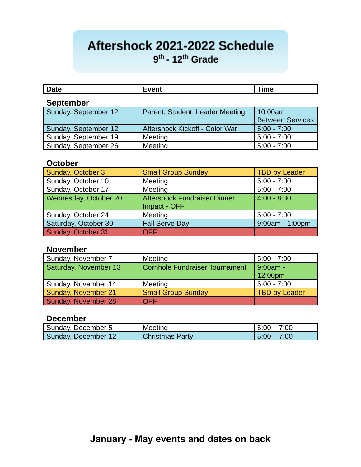# Aftershock 2021-2022 Schedule  $9<sup>th</sup>$  - 12<sup>th</sup> Grade

| $R = 1$ |         | ำหาด |
|---------|---------|------|
|         | ----    |      |
| pace    | $    -$ |      |
|         |         |      |

# **September**

| Sunday, September 12 | Parent, Student, Leader Meeting | 10:00am                 |
|----------------------|---------------------------------|-------------------------|
|                      |                                 | <b>Between Services</b> |
| Sunday, September 12 | Aftershock Kickoff - Color War  | $5:00 - 7:00$           |
| Sunday, September 19 | Meeting                         | $5:00 - 7:00$           |
| Sunday, September 26 | Meeting                         | $5:00 - 7:00$           |

#### **October**

| Sunday, October 3     | <b>Small Group Sunday</b>                           | <b>TBD by Leader</b> |
|-----------------------|-----------------------------------------------------|----------------------|
| Sunday, October 10    | Meeting                                             | $5:00 - 7:00$        |
| Sunday, October 17    | Meeting                                             | $5:00 - 7:00$        |
| Wednesday, October 20 | <b>Aftershock Fundraiser Dinner</b><br>Impact - OFF | $4:00 - 8:30$        |
| Sunday, October 24    | Meeting                                             | $5:00 - 7:00$        |
| Saturday, October 30  | <b>Fall Serve Day</b>                               | 9:00am - 1:00pm      |
| Sunday, October 31    | <b>OFF</b>                                          |                      |

#### **November**

| Sunday, November 7    | Meeting                        | $5:00 - 7:00$        |
|-----------------------|--------------------------------|----------------------|
| Saturday, November 13 | Cornhole Fundraiser Tournament | 9:00am -             |
|                       |                                | 12:00pm              |
| Sunday, November 14   | Meeting                        | 5:00 - 7:00          |
| Sunday, November 21   | <b>Small Group Sunday</b>      | <b>TBD by Leader</b> |
| Sunday, November 28   | OFF                            |                      |

# **December**

| Sunday, December 5  | Meeting                | $15:00 - 7:00$ |
|---------------------|------------------------|----------------|
| Sunday, December 12 | <b>Christmas Party</b> | $15:00 - 7:00$ |